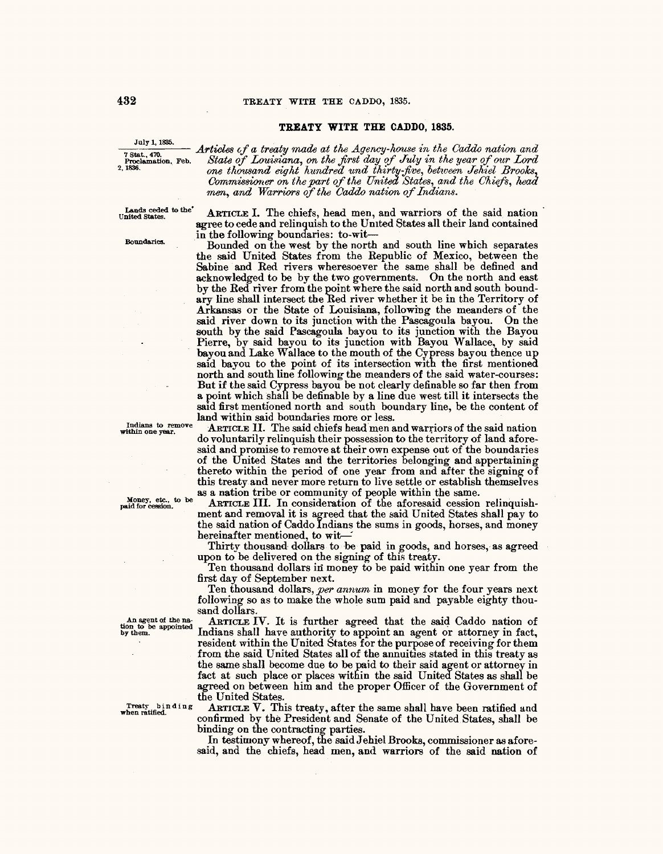## **TREATY WITH THE CADDO, 1835.**

July 1, 1885.<br> **Articles of a treaty made at the Agency-house in the Caddo nation and <br>
Proclamation, Feb.** State of Louisiana, on the first day of July in the year of our Lord<br>
2, 1886. State of Louisiana, on the first day of July in the year of our Lord  $\emph{one thousand eight hundred und thirty-five, between Jehiel Brooks, }$ *Commissioner on the part of the United States, and the Chiefs, head.* men, and Warriors of the Caddo nation of Indians.

Lands ceded to the' ARTICLE I. The chiefs, head. men, and warriors of the said nation ageree to cede and relinquish to the United States all their land contained in the following boundaries: to-wit-

Boundaries. Bounded on the west by the north and south line which separates the said United States from the Republic of Mexico, between the Sabine and Red rivers wheresoever the same shall be defined and acknowledged to be bv the two governments. On the north and east by the Red river from the point where the said north and south boundary line shall intersect the Red river whether it be in the Territory of Arkansas or the State of Louisiana, following the meanders of the said river down to its junction with the Pascagoula bayou. On the south by the said Pascagoula bayou to its junction with the Bayou Pierre, by said bayou to its junction with Bayou Wallace, by said bayou and Lake Wallace to the mouth of the Cypress bayou thence up said bayou to the point of its intersection with the first mentioned north and south line following the meanders of the said water-courses: But if the said Cypress bayou be not clearly definable so far then from a point which shall be definable by a line due west till it intersects the said first mentioned north and south boundary line, be the content of land within said boundaries more or less.

Indians to remove ARTICLE II. The said chiefs head men and warriors of the said nation within one year. do voluntarily relinquish their possession to the territory of land aforesaid and promise to remove at their own expense out of the boundaries of the United States and the territories belonging and appertaining thereto within the period of one year from and after the signing of this treaty and never more return to live settle or establish themselves as a nation tribe or community of people within the same.

Money, etc., to be ARTICLE III. In consideration of the aforesaid cession relinquishment and removal it is agreed that the said United States shall pay to the said nation of Caddo Indians the sums in goods, horses, and money hereinafter mentioned, to wit-

Thirty thousand dollars to be paid in goods, and horses, as agreed upon to be delivered on the signing of this treaty.

Ten thousand dollars in money to be paid within one year from the first day of September next.

Ten thousand dollars, *per annum* in money for the four years next following so as to make the whole sum paid and payable eighty thousand dollars.

An agent of the na-<br>tion to be appointed  $\Gamma_{\text{m}}$  diang about hours outhout the annual the said Caddo nation of by them. The indians shall have authority to appoint an agent or attorney in fact, resident within the United States for the purpose of receiving for them from the said United States all of the annuities stated in this treaty as the same shall become due to be paid to their said agent or attorney in fact at such place or places within the said United States as shall be agreed on between him and the proper Officer of the Government of the United States.

Treaty binding ARTICLE V. This treaty, after the same shall have been ratified and confirmed by the President and Senate *of* the United States, shall be binding on the contracting parties.

> In testimony whereof, the saidJehiel Brooks, commissioner as aforesaid, and the chiefs, head men, and warriors of the said nation of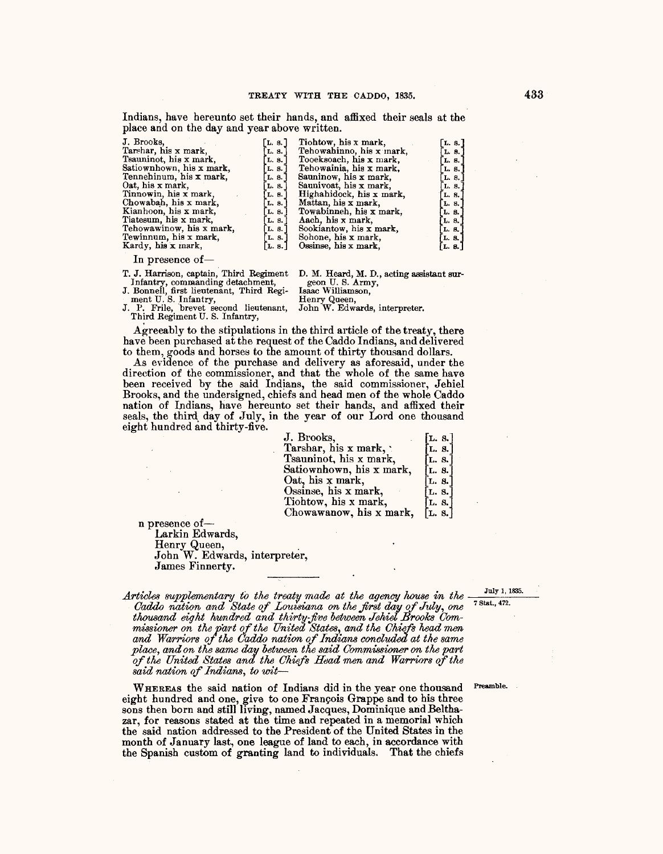Indians, have hereunto set their hands, and affixed their seals at the place and on the day and year above written.

| J. Brooks,               | L. 9.  | Tiohtow, his x mark,     | $\lceil$ L. 8. $\rceil$ |
|--------------------------|--------|--------------------------|-------------------------|
| Tarshar, his x mark,     | L. S.  | Tehowahinno, his x mark, | L. S.                   |
| Tsauninot, his x mark,   | L, 8,  | Tooeksoach, his x mark,  | L. S.                   |
| Satiownhown, his x mark. | L. S.  | Tehowainia, his x mark,  | L. S.                   |
| Tennehinum, his x mark,  | L. 8.  | Sauninow, his x mark,    | L. 8.                   |
| $0$ at, his x mark,      | L. S.  | Saunivoat, his x mark.   | L. 8.                   |
| Tinnowin, his x mark.    | L. 8.  | Highahidock, his x mark, | L. 8.                   |
| Chowabah, his x mark,    | L. S.  | Mattan, his x mark,      | L. S.                   |
| Kianhoon, his x mark,    | L. 8.  | Towabinneh, his x mark,  | L. S.                   |
| Tiatesum, his x mark,    | L. 8.1 | Aach, his x mark,        | L. 8.                   |
| Tehowawinow, his x mark, | L. S.  | Sookiantow, his x mark,  | L. 8.                   |
| Tewinnum, his x mark,    | L. S.  | Sohone, his x mark,      | L. 8.                   |
| Kardy, his x mark,       | L. 8.  | Ossinse, his x mark,     | L. 8.                   |
|                          |        |                          |                         |

In presence of  $-$ 

T. J. Harrison, captain, Third Regiment<br>Infantry, commanding detachment, T. J. Harrison, captain, Third Regiment D. M. Heard, M. D., acting assistant sur-

J. Bonnell, first lieutenant, Third Regi-

geon U.S. Army,<br>Isaac Williamson, Henry Queen,

ment U. S. Infantry, J. P. Frile, 'brevet second lieutenant, Third Regiment U. S. Infantry,

John W. Edwards, interpreter.

Agreeably to the stipulations in the third article of the treaty, there have been purchased at the request of the Caddo Indians, and delivered to them, goods and horses to the amount of thirty thousand dollars.

As evidence of the purchase and delivery as aforesaid, under the direction of the commissioner, and that the whole of the same have been received by the said Indians, the said commissioner, Jehiel Brooks, and the undersigned, chiefs and head men of the whole Caddo nation of Indians, have hereunto set their hands, and affixed their seals, the third day of July, in the year of our Lord one thousand eight hundred and thirty-five.

| J. Brooks,               | [L. s.]                   |
|--------------------------|---------------------------|
| Tarshar, his x mark,     | [L. s.]                   |
| Tsauninot, his x mark,   | [L. s.]                   |
| Satiownhown, his x mark, | L. 8.                     |
| Oat, his x mark,         | L. 8.                     |
| Ossinse, his x mark,     | $\left[$ L. 8. $\right]$  |
| Tiohtow, his x mark,     | $\lfloor$ L. 8. $\rfloor$ |
| Chowawanow, his x mark,  | [L. 8.]                   |

n presence of-Larkin Edwards, Henry Queen,<br>John W. Edwards, interpreter, James Finnerty.

 $Articles$  supplementary to the treaty made at the agency house in the  $\frac{July1,1835.}{2}$ Caddo nation and State of Louisiana on the first day of July, one <sup>7 Stat., 472</sup> thousand eight hundred and thirty-five between Jehiel Brooks Com-<br>missioner on the part of the United States, and the Chiefs head men and Warriors of the Caddo nation of Indians concluded at the same *place, and on the same day between the said Commissioner on the part of the United States and the Chiefs Head men and Warriors of tlte said nation of Indians, to wit-*

WHEREAS the said nation of Indians did in the year one thousand eight hundred and one, give to one François Grappe and to his three sons then born and still living, named Jacques, Dominique and Belthazar, for reasons stated at the time and repeated in a memorial which the said nation addressed to the President of the United States in the month of January last, one league of land to each, in accordance with the Spanish custom of granting land to individuals. That the chiefs

Preamble.